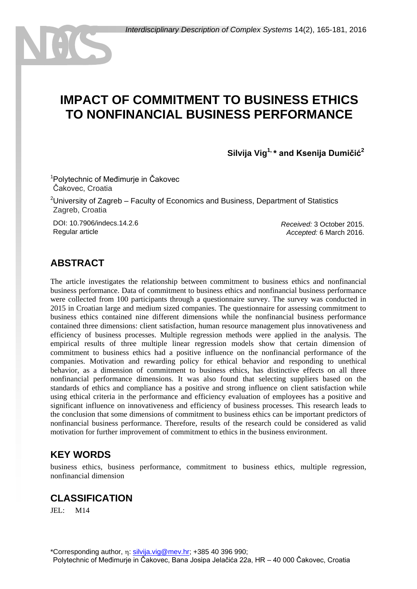# **IMPACT OF COMMITMENT TO BUSINESS ETHICS TO NONFINANCIAL BUSINESS PERFORMANCE**

**Silvija Vig1, \* and Ksenija Dumičić<sup>2</sup>**

<sup>1</sup>Polytechnic of Međimurje in Čakovec Čakovec, Croatia

<sup>2</sup>University of Zagreb – Faculty of Economics and Business, Department of Statistics Zagreb, Croatia

**<sup>2</sup>**DOI: 10.7906/indecs.14.2.6 Regular article

*Received:* 3 October 2015. *Accepted:* 6 March 2016.

### **ABSTRACT**

The article investigates the relationship between commitment to business ethics and nonfinancial business performance. Data of commitment to business ethics and nonfinancial business performance were collected from 100 participants through a questionnaire survey. The survey was conducted in 2015 in Croatian large and medium sized companies. The questionnaire for assessing commitment to business ethics contained nine different dimensions while the nonfinancial business performance contained three dimensions: client satisfaction, human resource management plus innovativeness and efficiency of business processes. Multiple regression methods were applied in the analysis. The empirical results of three multiple linear regression models show that certain dimension of commitment to business ethics had a positive influence on the nonfinancial performance of the companies. Motivation and rewarding policy for ethical behavior and responding to unethical behavior, as a dimension of commitment to business ethics, has distinctive effects on all three nonfinancial performance dimensions. It was also found that selecting suppliers based on the standards of ethics and compliance has a positive and strong influence on client satisfaction while using ethical criteria in the performance and efficiency evaluation of employees has a positive and significant influence on innovativeness and efficiency of business processes. This research leads to the conclusion that some dimensions of commitment to business ethics can be important predictors of nonfinancial business performance. Therefore, results of the research could be considered as valid motivation for further improvement of commitment to ethics in the business environment.

#### **KEY WORDS**

business ethics, business performance, commitment to business ethics, multiple regression, nonfinancial dimension

### **CLASSIFICATION**

 $IEI: M14$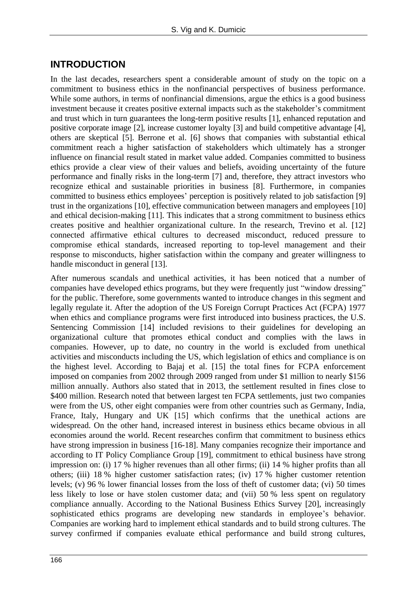# **INTRODUCTION**

In the last decades, researchers spent a considerable amount of study on the topic on a commitment to business ethics in the nonfinancial perspectives of business performance. While some authors, in terms of nonfinancial dimensions, argue the ethics is a good business investment because it creates positive external impacts such as the stakeholder's commitment and trust which in turn guarantees the long-term positive results [1], enhanced reputation and positive corporate image [2], increase customer loyalty [3] and build competitive advantage [4], others are skeptical [5]. Berrone et al. [6] shows that companies with substantial ethical commitment reach a higher satisfaction of stakeholders which ultimately has a stronger influence on financial result stated in market value added. Companies committed to business ethics provide a clear view of their values and beliefs, avoiding uncertainty of the future performance and finally risks in the long-term [7] and, therefore, they attract investors who recognize ethical and sustainable priorities in business [8]. Furthermore, in companies committed to business ethics employees' perception is positively related to job satisfaction [9] trust in the organizations [10], effective communication between managers and employees [10] and ethical decision-making [11]. This indicates that a strong commitment to business ethics creates positive and healthier organizational culture. In the research, Trevino et al. [12] connected affirmative ethical cultures to decreased misconduct, reduced pressure to compromise ethical standards, increased reporting to top-level management and their response to misconducts, higher satisfaction within the company and greater willingness to handle misconduct in general [13].

After numerous scandals and unethical activities, it has been noticed that a number of companies have developed ethics programs, but they were frequently just "window dressing" for the public. Therefore, some governments wanted to introduce changes in this segment and legally regulate it. After the adoption of the US Foreign Corrupt Practices Act (FCPA) 1977 when ethics and compliance programs were first introduced into business practices, the U.S. Sentencing Commission [14] included revisions to their guidelines for developing an organizational culture that promotes ethical conduct and complies with the laws in companies. However, up to date, no country in the world is excluded from unethical activities and misconducts including the US, which legislation of ethics and compliance is on the highest level. According to Bajaj et al. [15] the total fines for FCPA enforcement imposed on companies from 2002 through 2009 ranged from under \$1 million to nearly \$156 million annually. Authors also stated that in 2013, the settlement resulted in fines close to \$400 million. Research noted that between largest ten FCPA settlements, just two companies were from the US, other eight companies were from other countries such as Germany, India, France, Italy, Hungary and UK [15] which confirms that the unethical actions are widespread. On the other hand, increased interest in business ethics became obvious in all economies around the world. Recent researches confirm that commitment to business ethics have strong impression in business [16-18]. Many companies recognize their importance and according to IT Policy Compliance Group [19], commitment to ethical business have strong impression on: (i) 17 % higher revenues than all other firms; (ii) 14 % higher profits than all others; (iii) 18 % higher customer satisfaction rates; (iv) 17 % higher customer retention levels; (v) 96 % lower financial losses from the loss of theft of customer data; (vi) 50 times less likely to lose or have stolen customer data; and (vii) 50 % less spent on regulatory compliance annually. According to the National Business Ethics Survey [20], increasingly sophisticated ethics programs are developing new standards in employee's behavior. Companies are working hard to implement ethical standards and to build strong cultures. The survey confirmed if companies evaluate ethical performance and build strong cultures,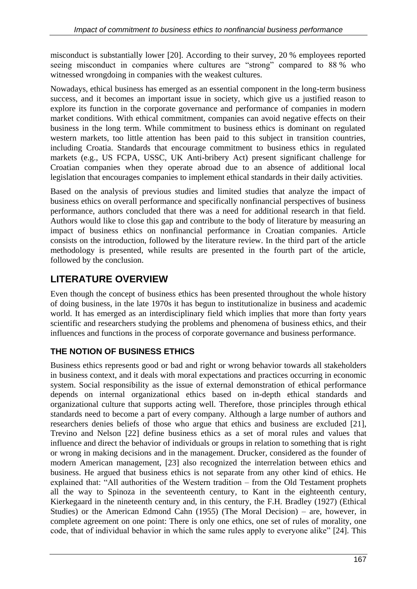misconduct is substantially lower [20]. According to their survey, 20 % employees reported seeing misconduct in companies where cultures are "strong" compared to 88 % who witnessed wrongdoing in companies with the weakest cultures.

Nowadays, ethical business has emerged as an essential component in the long-term business success, and it becomes an important issue in society, which give us a justified reason to explore its function in the corporate governance and performance of companies in modern market conditions. With ethical commitment, companies can avoid negative effects on their business in the long term. While commitment to business ethics is dominant on regulated western markets, too little attention has been paid to this subject in transition countries, including Croatia. Standards that encourage commitment to business ethics in regulated markets (e.g., US FCPA, USSC, UK Anti-bribery Act) present significant challenge for Croatian companies when they operate abroad due to an absence of additional local legislation that encourages companies to implement ethical standards in their daily activities.

Based on the analysis of previous studies and limited studies that analyze the impact of business ethics on overall performance and specifically nonfinancial perspectives of business performance, authors concluded that there was a need for additional research in that field. Authors would like to close this gap and contribute to the body of literature by measuring an impact of business ethics on nonfinancial performance in Croatian companies. Article consists on the introduction, followed by the literature review. In the third part of the article methodology is presented, while results are presented in the fourth part of the article, followed by the conclusion.

# **LITERATURE OVERVIEW**

Even though the concept of business ethics has been presented throughout the whole history of doing business, in the late 1970s it has begun to institutionalize in business and academic world. It has emerged as an interdisciplinary field which implies that more than forty years scientific and researchers studying the problems and phenomena of business ethics, and their influences and functions in the process of corporate governance and business performance.

### **THE NOTION OF BUSINESS ETHICS**

Business ethics represents good or bad and right or wrong behavior towards all stakeholders in business context, and it deals with moral expectations and practices occurring in economic system. Social responsibility as the issue of external demonstration of ethical performance depends on internal organizational ethics based on in-depth ethical standards and organizational culture that supports acting well. Therefore, those principles through ethical standards need to become a part of every company. Although a large number of authors and researchers denies beliefs of those who argue that ethics and business are excluded [21], Trevino and Nelson [22] define business ethics as a set of moral rules and values that influence and direct the behavior of individuals or groups in relation to something that is right or wrong in making decisions and in the management. Drucker, considered as the founder of modern American management, [23] also recognized the interrelation between ethics and business. He argued that business ethics is not separate from any other kind of ethics. He explained that: "All authorities of the Western tradition – from the Old Testament prophets all the way to Spinoza in the seventeenth century, to Kant in the eighteenth century, Kierkegaard in the nineteenth century and, in this century, the F.H. Bradley (1927) (Ethical Studies) or the American Edmond Cahn (1955) (The Moral Decision) – are, however, in complete agreement on one point: There is only one ethics, one set of rules of morality, one code, that of individual behavior in which the same rules apply to everyone alike" [24]. This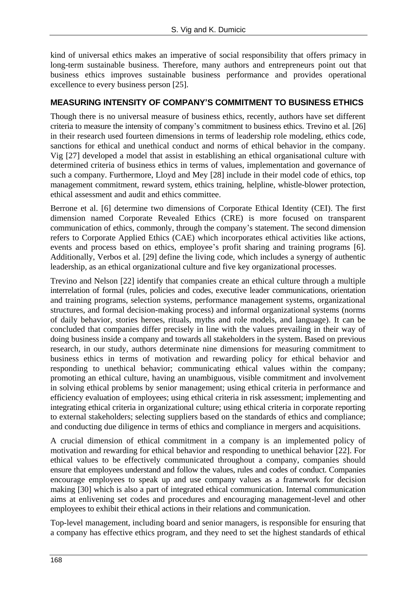kind of universal ethics makes an imperative of social responsibility that offers primacy in long-term sustainable business. Therefore, many authors and entrepreneurs point out that business ethics improves sustainable business performance and provides operational excellence to every business person [25].

#### **MEASURING INTENSITY OF COMPANY'S COMMITMENT TO BUSINESS ETHICS**

Though there is no universal measure of business ethics, recently, authors have set different criteria to measure the intensity of company's commitment to business ethics. Trevino et al. [26] in their research used fourteen dimensions in terms of leadership role modeling, ethics code, sanctions for ethical and unethical conduct and norms of ethical behavior in the company. Vig [27] developed a model that assist in establishing an ethical organisational culture with determined criteria of business ethics in terms of values, implementation and governance of such a company. Furthermore, Lloyd and Mey [28] include in their model code of ethics, top management commitment, reward system, ethics training, helpline, whistle-blower protection, ethical assessment and audit and ethics committee.

Berrone et al. [6] determine two dimensions of Corporate Ethical Identity (CEI). The first dimension named Corporate Revealed Ethics (CRE) is more focused on transparent communication of ethics, commonly, through the company's statement. The second dimension refers to Corporate Applied Ethics (CAE) which incorporates ethical activities like actions, events and process based on ethics, employee's profit sharing and training programs [6]. Additionally, Verbos et al. [29] define the living code, which includes a synergy of authentic leadership, as an ethical organizational culture and five key organizational processes.

Trevino and Nelson [22] identify that companies create an ethical culture through a multiple interrelation of formal (rules, policies and codes, executive leader communications, orientation and training programs, selection systems, performance management systems, organizational structures, and formal decision-making process) and informal organizational systems (norms of daily behavior, stories heroes, rituals, myths and role models, and language). It can be concluded that companies differ precisely in line with the values prevailing in their way of doing business inside a company and towards all stakeholders in the system. Based on previous research, in our study, authors determinate nine dimensions for measuring commitment to business ethics in terms of motivation and rewarding policy for ethical behavior and responding to unethical behavior; communicating ethical values within the company; promoting an ethical culture, having an unambiguous, visible commitment and involvement in solving ethical problems by senior management; using ethical criteria in performance and efficiency evaluation of employees; using ethical criteria in risk assessment; implementing and integrating ethical criteria in organizational culture; using ethical criteria in corporate reporting to external stakeholders; selecting suppliers based on the standards of ethics and compliance; and conducting due diligence in terms of ethics and compliance in mergers and acquisitions.

A crucial dimension of ethical commitment in a company is an implemented policy of motivation and rewarding for ethical behavior and responding to unethical behavior [22]. For ethical values to be effectively communicated throughout a company, companies should ensure that employees understand and follow the values, rules and codes of conduct. Companies encourage employees to speak up and use company values as a framework for decision making [30] which is also a part of integrated ethical communication. Internal communication aims at enlivening set codes and procedures and encouraging management-level and other employees to exhibit their ethical actions in their relations and communication.

Top-level management, including board and senior managers, is responsible for ensuring that a company has effective ethics program, and they need to set the highest standards of ethical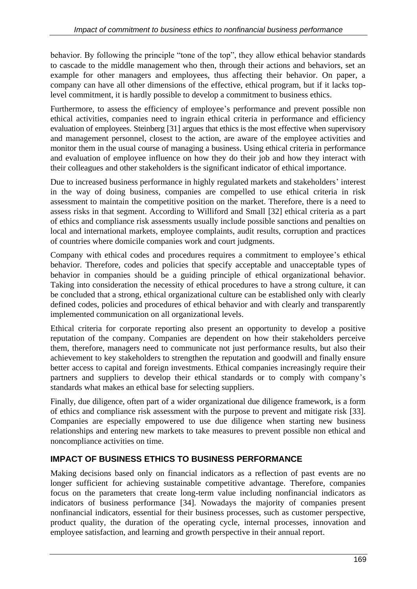behavior. By following the principle "tone of the top", they allow ethical behavior standards to cascade to the middle management who then, through their actions and behaviors, set an example for other managers and employees, thus affecting their behavior. On paper, a company can have all other dimensions of the effective, ethical program, but if it lacks toplevel commitment, it is hardly possible to develop a commitment to business ethics.

Furthermore, to assess the efficiency of employee's performance and prevent possible non ethical activities, companies need to ingrain ethical criteria in performance and efficiency evaluation of employees. Steinberg [31] argues that ethics is the most effective when supervisory and management personnel, closest to the action, are aware of the employee activities and monitor them in the usual course of managing a business. Using ethical criteria in performance and evaluation of employee influence on how they do their job and how they interact with their colleagues and other stakeholders is the significant indicator of ethical importance.

Due to increased business performance in highly regulated markets and stakeholders' interest in the way of doing business, companies are compelled to use ethical criteria in risk assessment to maintain the competitive position on the market. Therefore, there is a need to assess risks in that segment. According to Williford and Small [32] ethical criteria as a part of ethics and compliance risk assessments usually include possible sanctions and penalties on local and international markets, employee complaints, audit results, corruption and practices of countries where domicile companies work and court judgments.

Company with ethical codes and procedures requires a commitment to employee's ethical behavior. Therefore, codes and policies that specify acceptable and unacceptable types of behavior in companies should be a guiding principle of ethical organizational behavior. Taking into consideration the necessity of ethical procedures to have a strong culture, it can be concluded that a strong, ethical organizational culture can be established only with clearly defined codes, policies and procedures of ethical behavior and with clearly and transparently implemented communication on all organizational levels.

Ethical criteria for corporate reporting also present an opportunity to develop a positive reputation of the company. Companies are dependent on how their stakeholders perceive them, therefore, managers need to communicate not just performance results, but also their achievement to key stakeholders to strengthen the reputation and goodwill and finally ensure better access to capital and foreign investments. Ethical companies increasingly require their partners and suppliers to develop their ethical standards or to comply with company's standards what makes an ethical base for selecting suppliers.

Finally, due diligence, often part of a wider organizational due diligence framework, is a form of ethics and compliance risk assessment with the purpose to prevent and mitigate risk [33]. Companies are especially empowered to use due diligence when starting new business relationships and entering new markets to take measures to prevent possible non ethical and noncompliance activities on time.

#### **IMPACT OF BUSINESS ETHICS TO BUSINESS PERFORMANCE**

Making decisions based only on financial indicators as a reflection of past events are no longer sufficient for achieving sustainable competitive advantage. Therefore, companies focus on the parameters that create long-term value including nonfinancial indicators as indicators of business performance [34]. Nowadays the majority of companies present nonfinancial indicators, essential for their business processes, such as customer perspective, product quality, the duration of the operating cycle, internal processes, innovation and employee satisfaction, and learning and growth perspective in their annual report.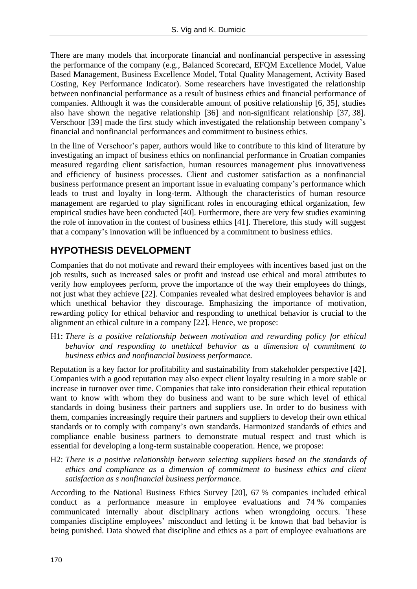There are many models that incorporate financial and nonfinancial perspective in assessing the performance of the company (e.g., Balanced Scorecard, EFQM Excellence Model, Value Based Management, Business Excellence Model, Total Quality Management, Activity Based Costing, Key Performance Indicator). Some researchers have investigated the relationship between nonfinancial performance as a result of business ethics and financial performance of companies. Although it was the considerable amount of positive relationship [6, 35], studies also have shown the negative relationship [36] and non-significant relationship [37, 38]. Verschoor [39] made the first study which investigated the relationship between company's financial and nonfinancial performances and commitment to business ethics.

In the line of Verschoor's paper, authors would like to contribute to this kind of literature by investigating an impact of business ethics on nonfinancial performance in Croatian companies measured regarding client satisfaction, human resources management plus innovativeness and efficiency of business processes. Client and customer satisfaction as a nonfinancial business performance present an important issue in evaluating company's performance which leads to trust and loyalty in long-term. Although the characteristics of human resource management are regarded to play significant roles in encouraging ethical organization, few empirical studies have been conducted [40]. Furthermore, there are very few studies examining the role of innovation in the contest of business ethics [41]. Therefore, this study will suggest that a company's innovation will be influenced by a commitment to business ethics.

# **HYPOTHESIS DEVELOPMENT**

Companies that do not motivate and reward their employees with incentives based just on the job results, such as increased sales or profit and instead use ethical and moral attributes to verify how employees perform, prove the importance of the way their employees do things, not just what they achieve [22]. Companies revealed what desired employees behavior is and which unethical behavior they discourage. Emphasizing the importance of motivation, rewarding policy for ethical behavior and responding to unethical behavior is crucial to the alignment an ethical culture in a company [22]. Hence, we propose:

H1: *There is a positive relationship between motivation and rewarding policy for ethical behavior and responding to unethical behavior as a dimension of commitment to business ethics and nonfinancial business performance.*

Reputation is a key factor for profitability and sustainability from stakeholder perspective [42]. Companies with a good reputation may also expect client loyalty resulting in a more stable or increase in turnover over time. Companies that take into consideration their ethical reputation want to know with whom they do business and want to be sure which level of ethical standards in doing business their partners and suppliers use. In order to do business with them, companies increasingly require their partners and suppliers to develop their own ethical standards or to comply with company's own standards. Harmonized standards of ethics and compliance enable business partners to demonstrate mutual respect and trust which is essential for developing a long-term sustainable cooperation. Hence, we propose:

H2: *There is a positive relationship between selecting suppliers based on the standards of ethics and compliance as a dimension of commitment to business ethics and client satisfaction as s nonfinancial business performance.*

According to the National Business Ethics Survey [20], 67 % companies included ethical conduct as a performance measure in employee evaluations and 74 % companies communicated internally about disciplinary actions when wrongdoing occurs. These companies discipline employees' misconduct and letting it be known that bad behavior is being punished. Data showed that discipline and ethics as a part of employee evaluations are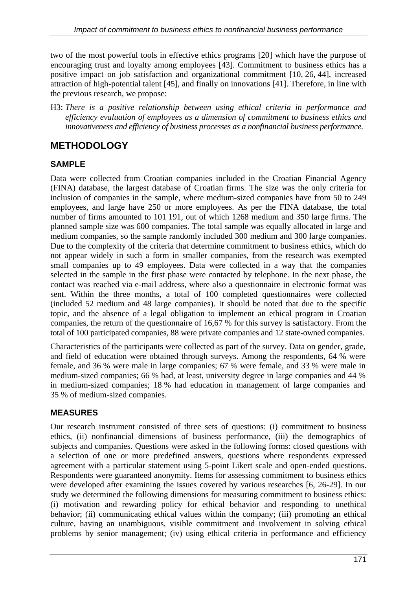two of the most powerful tools in effective ethics programs [20] which have the purpose of encouraging trust and loyalty among employees [43]. Commitment to business ethics has a positive impact on job satisfaction and organizational commitment [10, 26, 44], increased attraction of high-potential talent [45], and finally on innovations [41]. Therefore, in line with the previous research, we propose:

H3: *There is a positive relationship between using ethical criteria in performance and efficiency evaluation of employees as a dimension of commitment to business ethics and innovativeness and efficiency of business processes as a nonfinancial business performance.*

# **METHODOLOGY**

#### **SAMPLE**

Data were collected from Croatian companies included in the Croatian Financial Agency (FINA) database, the largest database of Croatian firms. The size was the only criteria for inclusion of companies in the sample, where medium-sized companies have from 50 to 249 employees, and large have 250 or more employees. As per the FINA database, the total number of firms amounted to 101 191, out of which 1268 medium and 350 large firms. The planned sample size was 600 companies. The total sample was equally allocated in large and medium companies, so the sample randomly included 300 medium and 300 large companies. Due to the complexity of the criteria that determine commitment to business ethics, which do not appear widely in such a form in smaller companies, from the research was exempted small companies up to 49 employees. Data were collected in a way that the companies selected in the sample in the first phase were contacted by telephone. In the next phase, the contact was reached via e-mail address, where also a questionnaire in electronic format was sent. Within the three months, a total of 100 completed questionnaires were collected (included 52 medium and 48 large companies). It should be noted that due to the specific topic, and the absence of a legal obligation to implement an ethical program in Croatian companies, the return of the questionnaire of 16,67 % for this survey is satisfactory. From the total of 100 participated companies, 88 were private companies and 12 state-owned companies.

Characteristics of the participants were collected as part of the survey. Data on gender, grade, and field of education were obtained through surveys. Among the respondents, 64 % were female, and 36 % were male in large companies; 67 % were female, and 33 % were male in medium-sized companies; 66 % had, at least, university degree in large companies and 44 % in medium-sized companies; 18 % had education in management of large companies and 35 % of medium-sized companies.

#### **MEASURES**

Our research instrument consisted of three sets of questions: (i) commitment to business ethics, (ii) nonfinancial dimensions of business performance, (iii) the demographics of subjects and companies. Questions were asked in the following forms: closed questions with a selection of one or more predefined answers, questions where respondents expressed agreement with a particular statement using 5-point Likert scale and open-ended questions. Respondents were guaranteed anonymity. Items for assessing commitment to business ethics were developed after examining the issues covered by various researches [6, 26-29]. In our study we determined the following dimensions for measuring commitment to business ethics: (i) motivation and rewarding policy for ethical behavior and responding to unethical behavior; (ii) communicating ethical values within the company; (iii) promoting an ethical culture, having an unambiguous, visible commitment and involvement in solving ethical problems by senior management; (iv) using ethical criteria in performance and efficiency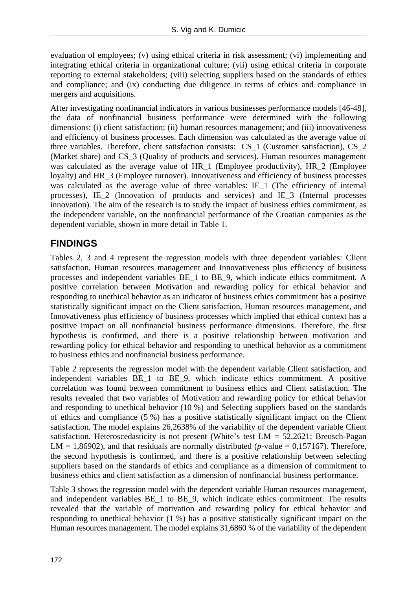evaluation of employees; (v) using ethical criteria in risk assessment; (vi) implementing and integrating ethical criteria in organizational culture; (vii) using ethical criteria in corporate reporting to external stakeholders; (viii) selecting suppliers based on the standards of ethics and compliance; and (ix) conducting due diligence in terms of ethics and compliance in mergers and acquisitions.

After investigating nonfinancial indicators in various businesses performance models [46-48], the data of nonfinancial business performance were determined with the following dimensions: (i) client satisfaction; (ii) human resources management; and (iii) innovativeness and efficiency of business processes. Each dimension was calculated as the average value of three variables. Therefore, client satisfaction consists: CS\_1 (Customer satisfaction), CS\_2 (Market share) and CS\_3 (Quality of products and services). Human resources management was calculated as the average value of HR\_1 (Employee productivity), HR\_2 (Employee loyalty) and HR\_3 (Employee turnover). Innovativeness and efficiency of business processes was calculated as the average value of three variables: IE\_1 (The efficiency of internal processes), IE\_2 (Innovation of products and services) and IE\_3 (Internal processes innovation). The aim of the research is to study the impact of business ethics commitment, as the independent variable, on the nonfinancial performance of the Croatian companies as the dependent variable, shown in more detail in Table 1.

# **FINDINGS**

Tables 2, 3 and 4 represent the regression models with three dependent variables: Client satisfaction, Human resources management and Innovativeness plus efficiency of business processes and independent variables BE\_1 to BE\_9, which indicate ethics commitment. A positive correlation between Motivation and rewarding policy for ethical behavior and responding to unethical behavior as an indicator of business ethics commitment has a positive statistically significant impact on the Client satisfaction, Human resources management, and Innovativeness plus efficiency of business processes which implied that ethical context has a positive impact on all nonfinancial business performance dimensions. Therefore, the first hypothesis is confirmed, and there is a positive relationship between motivation and rewarding policy for ethical behavior and responding to unethical behavior as a commitment to business ethics and nonfinancial business performance.

Table 2 represents the regression model with the dependent variable Client satisfaction, and independent variables BE\_1 to BE\_9, which indicate ethics commitment. A positive correlation was found between commitment to business ethics and Client satisfaction. The results revealed that two variables of Motivation and rewarding policy for ethical behavior and responding to unethical behavior (10 %) and Selecting suppliers based on the standards of ethics and compliance (5 %) has a positive statistically significant impact on the Client satisfaction. The model explains 26,2638% of the variability of the dependent variable Client satisfaction. Heteroscedasticity is not present (White's test LM = 52,2621; Breusch-Pagan LM = 1,86902), and that residuals are normally distributed ( $p$ -value = 0,157167). Therefore, the second hypothesis is confirmed, and there is a positive relationship between selecting suppliers based on the standards of ethics and compliance as a dimension of commitment to business ethics and client satisfaction as a dimension of nonfinancial business performance.

Table 3 shows the regression model with the dependent variable Human resources management, and independent variables BE\_1 to BE\_9, which indicate ethics commitment. The results revealed that the variable of motivation and rewarding policy for ethical behavior and responding to unethical behavior (1 %) has a positive statistically significant impact on the Human resources management. The model explains 31,6860 % of the variability of the dependent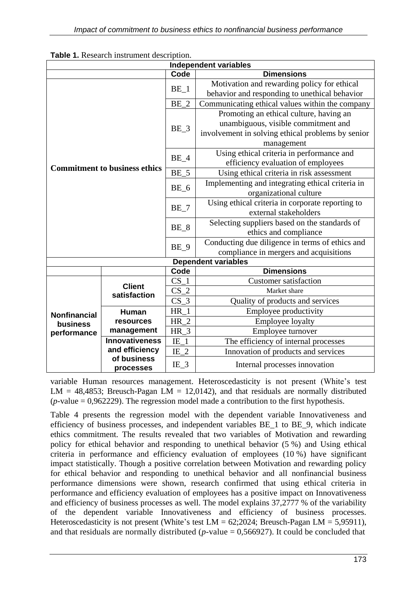| $\alpha$ and $\alpha$ , research modulity description. |                                      |                 |                                                   |  |  |
|--------------------------------------------------------|--------------------------------------|-----------------|---------------------------------------------------|--|--|
| <b>Independent variables</b>                           |                                      |                 |                                                   |  |  |
| Code<br><b>Dimensions</b>                              |                                      |                 |                                                   |  |  |
|                                                        |                                      | $BE_1$          | Motivation and rewarding policy for ethical       |  |  |
|                                                        |                                      |                 | behavior and responding to unethical behavior     |  |  |
|                                                        |                                      | BE <sub>2</sub> | Communicating ethical values within the company   |  |  |
|                                                        |                                      |                 | Promoting an ethical culture, having an           |  |  |
|                                                        |                                      | $BE_3$          | unambiguous, visible commitment and               |  |  |
|                                                        |                                      |                 | involvement in solving ethical problems by senior |  |  |
|                                                        |                                      |                 | management                                        |  |  |
|                                                        |                                      | $BE_4$          | Using ethical criteria in performance and         |  |  |
|                                                        | <b>Commitment to business ethics</b> |                 | efficiency evaluation of employees                |  |  |
|                                                        |                                      | BE_5            | Using ethical criteria in risk assessment         |  |  |
|                                                        |                                      |                 | Implementing and integrating ethical criteria in  |  |  |
|                                                        |                                      | BE_6            | organizational culture                            |  |  |
|                                                        |                                      | $BE_7$          | Using ethical criteria in corporate reporting to  |  |  |
|                                                        |                                      |                 | external stakeholders                             |  |  |
|                                                        |                                      | $BE_8$          | Selecting suppliers based on the standards of     |  |  |
|                                                        |                                      |                 | ethics and compliance                             |  |  |
|                                                        |                                      | $BE_9$          | Conducting due diligence in terms of ethics and   |  |  |
|                                                        |                                      |                 | compliance in mergers and acquisitions            |  |  |
|                                                        |                                      |                 | <b>Dependent variables</b>                        |  |  |
|                                                        |                                      | Code            | <b>Dimensions</b>                                 |  |  |
|                                                        | <b>Client</b><br>satisfaction        | $CS_1$          | <b>Customer satisfaction</b>                      |  |  |
|                                                        |                                      | $CS_2$          | Market share                                      |  |  |
|                                                        |                                      | $CS_3$          | Quality of products and services                  |  |  |
| <b>Nonfinancial</b>                                    | Human                                | $HR_1$          | Employee productivity                             |  |  |
| business<br>performance                                | resources                            | $HR_2$          | <b>Employee loyalty</b>                           |  |  |
|                                                        | management                           | $HR_3$          | Employee turnover                                 |  |  |
|                                                        | <b>Innovativeness</b>                | $IE$ 1          | The efficiency of internal processes              |  |  |
|                                                        | and efficiency                       | $IE_2$          | Innovation of products and services               |  |  |
|                                                        | of business<br>processes             | $IE_3$          | Internal processes innovation                     |  |  |

|  | Table 1. Research instrument description. |  |
|--|-------------------------------------------|--|
|  |                                           |  |

variable Human resources management. Heteroscedasticity is not present (White's test  $LM = 48,4853$ ; Breusch-Pagan  $LM = 12,0142$ ), and that residuals are normally distributed  $(p$ -value  $= 0.962229$ ). The regression model made a contribution to the first hypothesis.

Table 4 presents the regression model with the dependent variable Innovativeness and efficiency of business processes, and independent variables BE\_1 to BE\_9, which indicate ethics commitment. The results revealed that two variables of Motivation and rewarding policy for ethical behavior and responding to unethical behavior (5 %) and Using ethical criteria in performance and efficiency evaluation of employees (10 %) have significant impact statistically. Though a positive correlation between Motivation and rewarding policy for ethical behavior and responding to unethical behavior and all nonfinancial business performance dimensions were shown, research confirmed that using ethical criteria in performance and efficiency evaluation of employees has a positive impact on Innovativeness and efficiency of business processes as well. The model explains 37,2777 % of the variability of the dependent variable Innovativeness and efficiency of business processes. Heteroscedasticity is not present (White's test  $LM = 62;2024$ ; Breusch-Pagan  $LM = 5,95911$ ), and that residuals are normally distributed ( $p$ -value = 0,566927). It could be concluded that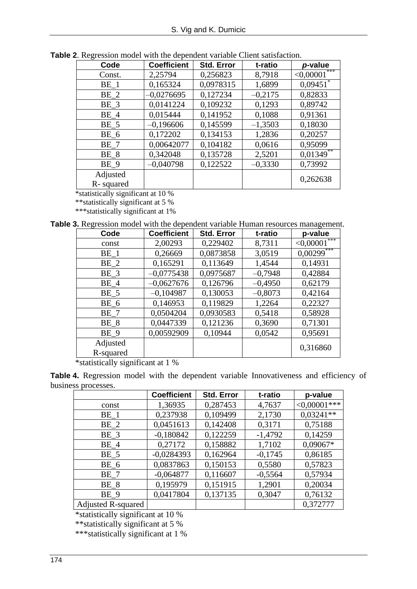| Code                  | <b>Coefficient</b> | <b>Std. Error</b> | t-ratio   | p-value                 |
|-----------------------|--------------------|-------------------|-----------|-------------------------|
| Const.                | 2,25794            | 0,256823          | 8,7918    | ***<br>< 0,00001        |
| $BE_1$                | 0,165324           | 0,0978315         | 1,6899    | 0,09451                 |
| $BE_2$                | $-0,0276695$       | 0,127234          | $-0,2175$ | 0,82833                 |
| $BE_3$                | 0,0141224          | 0,109232          | 0,1293    | 0,89742                 |
| $BE_4$                | 0,015444           | 0,141952          | 0,1088    | 0,91361                 |
| $BE_5$                | $-0,196606$        | 0,145599          | $-1,3503$ | 0,18030                 |
| $BE_6$                | 0,172202           | 0,134153          | 1,2836    | 0,20257                 |
| <b>BE</b> 7           | 0,00642077         | 0,104182          | 0,0616    | 0,95099                 |
| <b>BE 8</b>           | 0,342048           | 0,135728          | 2,5201    | $0,01349$ <sup>**</sup> |
| $BE_9$                | $-0,040798$        | 0,122522          | $-0,3330$ | 0,73992                 |
| Adjusted<br>R-squared |                    |                   |           | 0,262638                |

**Table 2**. Regression model with the dependent variable Client satisfaction.

\*statistically significant at 10 %

\*\*statistically significant at 5 %

\*\*\*statistically significant at 1%

**Table 3.** Regression model with the dependent variable Human resources management.

| Code                  | <b>Coefficient</b> | <b>Std. Error</b> | t-ratio   | p-value          |
|-----------------------|--------------------|-------------------|-----------|------------------|
| const                 | 2,00293            | 0,229402          | 8,7311    | ***<br>< 0,00001 |
| $BE_1$                | 0,26669            | 0,0873858         | 3,0519    | $0,00299***$     |
| $BE_2$                | 0,165291           | 0,113649          | 1,4544    | 0,14931          |
| $BE_3$                | $-0,0775438$       | 0,0975687         | $-0,7948$ | 0,42884          |
| $BE_4$                | $-0,0627676$       | 0,126796          | $-0,4950$ | 0,62179          |
| $BE_5$                | $-0.104987$        | 0,130053          | $-0,8073$ | 0,42164          |
| $BE_6$                | 0,146953           | 0,119829          | 1,2264    | 0,22327          |
| $BE_7$                | 0,0504204          | 0,0930583         | 0,5418    | 0,58928          |
| $BE_8$                | 0,0447339          | 0,121236          | 0,3690    | 0,71301          |
| <b>BE</b> 9           | 0,00592909         | 0,10944           | 0,0542    | 0,95691          |
| Adjusted<br>R-squared |                    |                   |           | 0,316860         |

\*statistically significant at 1 %

**Table 4.** Regression model with the dependent variable Innovativeness and efficiency of business processes.

|                           | <b>Coefficient</b> | <b>Std. Error</b> | t-ratio   | p-value        |
|---------------------------|--------------------|-------------------|-----------|----------------|
| const                     | 1,36935            | 0,287453          | 4,7637    | $<0,00001$ *** |
| $BE_1$                    | 0,237938           | 0,109499          | 2,1730    | $0.03241**$    |
| $BE_2$                    | 0,0451613          | 0,142408          | 0,3171    | 0,75188        |
| BE 3                      | $-0,180842$        | 0,122259          | $-1,4792$ | 0,14259        |
| $BE_4$                    | 0,27172            | 0,158882          | 1,7102    | $0,09067*$     |
| $BE_5$                    | $-0,0284393$       | 0,162964          | $-0,1745$ | 0,86185        |
| BE 6                      | 0,0837863          | 0,150153          | 0,5580    | 0,57823        |
| BE 7                      | $-0,064877$        | 0,116607          | $-0,5564$ | 0,57934        |
| $BE_8$                    | 0,195979           | 0,151915          | 1,2901    | 0,20034        |
| <b>BE</b> 9               | 0,0417804          | 0,137135          | 0.3047    | 0,76132        |
| <b>Adjusted R-squared</b> |                    |                   |           | 0,372777       |

\*statistically significant at 10 %

\*\*statistically significant at 5 %

\*\*\*statistically significant at 1 %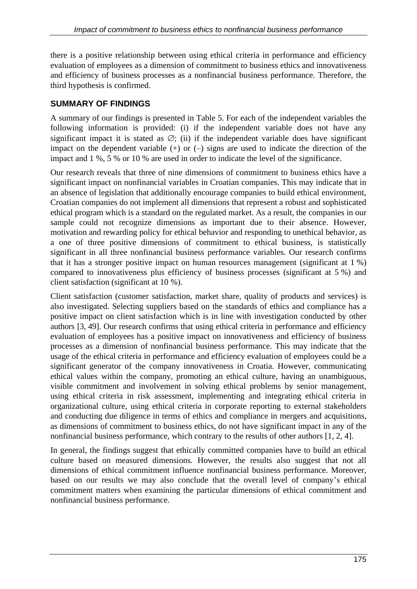there is a positive relationship between using ethical criteria in performance and efficiency evaluation of employees as a dimension of commitment to business ethics and innovativeness and efficiency of business processes as a nonfinancial business performance. Therefore, the third hypothesis is confirmed.

#### **SUMMARY OF FINDINGS**

A summary of our findings is presented in Table 5. For each of the independent variables the following information is provided: (i) if the independent variable does not have any significant impact it is stated as  $\varnothing$ ; (ii) if the independent variable does have significant impact on the dependent variable  $(+)$  or  $(-)$  signs are used to indicate the direction of the impact and 1 %, 5 % or 10 % are used in order to indicate the level of the significance.

Our research reveals that three of nine dimensions of commitment to business ethics have a significant impact on nonfinancial variables in Croatian companies. This may indicate that in an absence of legislation that additionally encourage companies to build ethical environment, Croatian companies do not implement all dimensions that represent a robust and sophisticated ethical program which is a standard on the regulated market. As a result, the companies in our sample could not recognize dimensions as important due to their absence. However, motivation and rewarding policy for ethical behavior and responding to unethical behavior, as a one of three positive dimensions of commitment to ethical business, is statistically significant in all three nonfinancial business performance variables. Our research confirms that it has a stronger positive impact on human resources management (significant at 1 %) compared to innovativeness plus efficiency of business processes (significant at 5 %) and client satisfaction (significant at 10 %).

Client satisfaction (customer satisfaction, market share, quality of products and services) is also investigated. Selecting suppliers based on the standards of ethics and compliance has a positive impact on client satisfaction which is in line with investigation conducted by other authors [3, 49]. Our research confirms that using ethical criteria in performance and efficiency evaluation of employees has a positive impact on innovativeness and efficiency of business processes as a dimension of nonfinancial business performance. This may indicate that the usage of the ethical criteria in performance and efficiency evaluation of employees could be a significant generator of the company innovativeness in Croatia. However, communicating ethical values within the company, promoting an ethical culture, having an unambiguous, visible commitment and involvement in solving ethical problems by senior management, using ethical criteria in risk assessment, implementing and integrating ethical criteria in organizational culture, using ethical criteria in corporate reporting to external stakeholders and conducting due diligence in terms of ethics and compliance in mergers and acquisitions, as dimensions of commitment to business ethics, do not have significant impact in any of the nonfinancial business performance, which contrary to the results of other authors [1, 2, 4].

In general, the findings suggest that ethically committed companies have to build an ethical culture based on measured dimensions. However, the results also suggest that not all dimensions of ethical commitment influence nonfinancial business performance. Moreover, based on our results we may also conclude that the overall level of company's ethical commitment matters when examining the particular dimensions of ethical commitment and nonfinancial business performance.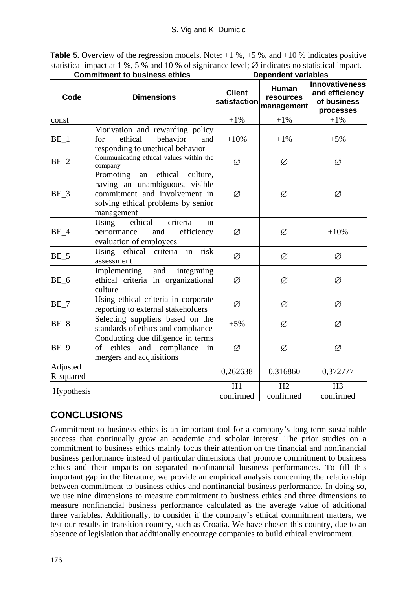|                       | <b>Commitment to business ethics</b>                                                                                                                          | <b>Dependent variables</b>    |                                         |                                                                     |  |
|-----------------------|---------------------------------------------------------------------------------------------------------------------------------------------------------------|-------------------------------|-----------------------------------------|---------------------------------------------------------------------|--|
| Code                  | <b>Dimensions</b>                                                                                                                                             | <b>Client</b><br>satisfaction | <b>Human</b><br>resources<br>management | <b>Innovativeness</b><br>and efficiency<br>of business<br>processes |  |
| const                 |                                                                                                                                                               | $+1\%$                        | $+1%$                                   | $+1%$                                                               |  |
| $BE_1$                | Motivation and rewarding policy<br>ethical<br>for<br>behavior<br>and<br>responding to unethical behavior                                                      | $+10%$                        | $+1\%$                                  | $+5%$                                                               |  |
| $BE_2$                | Communicating ethical values within the<br>company                                                                                                            | Ø                             | Ø                                       | Ø                                                                   |  |
| $BE_3$                | ethical<br>Promoting<br>culture,<br>an<br>having an unambiguous, visible<br>commitment and involvement in<br>solving ethical problems by senior<br>management | Ø                             | Ø                                       | Ø                                                                   |  |
| $BE_4$                | ethical<br>criteria<br>Using<br>in<br>efficiency<br>performance<br>and<br>evaluation of employees                                                             | Ø                             | Ø                                       | $+10%$                                                              |  |
| $BE_5$                | Using ethical<br>risk<br>criteria<br>in<br>assessment                                                                                                         | Ø                             | Ø                                       | Ø                                                                   |  |
| $BE_6$                | Implementing and<br>integrating<br>ethical criteria in organizational<br>culture                                                                              | Ø                             | Ø                                       | Ø                                                                   |  |
| $BE_7$                | Using ethical criteria in corporate<br>reporting to external stakeholders                                                                                     | Ø                             | Ø                                       | Ø                                                                   |  |
| BE_8                  | Selecting suppliers based on the<br>standards of ethics and compliance                                                                                        | $+5%$                         | Ø                                       | Ø                                                                   |  |
| BE_9                  | Conducting due diligence in terms<br>of ethics<br>and compliance<br>in<br>mergers and acquisitions                                                            | Ø                             | Ø                                       | Ø                                                                   |  |
| Adjusted<br>R-squared |                                                                                                                                                               | 0,262638                      | 0,316860                                | 0,372777                                                            |  |
| Hypothesis            |                                                                                                                                                               | H1<br>confirmed               | H2<br>confirmed                         | H <sub>3</sub><br>confirmed                                         |  |

**Table 5.** Overview of the regression models. Note:  $+1\%$ ,  $+5\%$ , and  $+10\%$  indicates positive statistical impact at 1 %, 5 % and 10 % of signicance level;  $\varnothing$  indicates no statistical impact.

# **CONCLUSIONS**

Commitment to business ethics is an important tool for a company's long-term sustainable success that continually grow an academic and scholar interest. The prior studies on a commitment to business ethics mainly focus their attention on the financial and nonfinancial business performance instead of particular dimensions that promote commitment to business ethics and their impacts on separated nonfinancial business performances. To fill this important gap in the literature, we provide an empirical analysis concerning the relationship between commitment to business ethics and nonfinancial business performance. In doing so, we use nine dimensions to measure commitment to business ethics and three dimensions to measure nonfinancial business performance calculated as the average value of additional three variables. Additionally, to consider if the company's ethical commitment matters, we test our results in transition country, such as Croatia. We have chosen this country, due to an absence of legislation that additionally encourage companies to build ethical environment.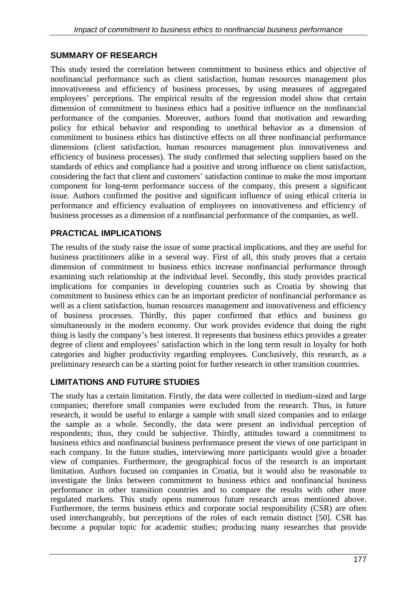#### **SUMMARY OF RESEARCH**

This study tested the correlation between commitment to business ethics and objective of nonfinancial performance such as client satisfaction, human resources management plus innovativeness and efficiency of business processes, by using measures of aggregated employees' perceptions. The empirical results of the regression model show that certain dimension of commitment to business ethics had a positive influence on the nonfinancial performance of the companies. Moreover, authors found that motivation and rewarding policy for ethical behavior and responding to unethical behavior as a dimension of commitment to business ethics has distinctive effects on all three nonfinancial performance dimensions (client satisfaction, human resources management plus innovativeness and efficiency of business processes). The study confirmed that selecting suppliers based on the standards of ethics and compliance had a positive and strong influence on client satisfaction, considering the fact that client and customers' satisfaction continue to make the most important component for long-term performance success of the company, this present a significant issue. Authors confirmed the positive and significant influence of using ethical criteria in performance and efficiency evaluation of employees on innovativeness and efficiency of business processes as a dimension of a nonfinancial performance of the companies, as well.

### **PRACTICAL IMPLICATIONS**

The results of the study raise the issue of some practical implications, and they are useful for business practitioners alike in a several way. First of all, this study proves that a certain dimension of commitment to business ethics increase nonfinancial performance through examining such relationship at the individual level. Secondly, this study provides practical implications for companies in developing countries such as Croatia by showing that commitment to business ethics can be an important predictor of nonfinancial performance as well as a client satisfaction, human resources management and innovativeness and efficiency of business processes. Thirdly, this paper confirmed that ethics and business go simultaneously in the modern economy. Our work provides evidence that doing the right thing is lastly the company's best interest. It represents that business ethics provides a greater degree of client and employees' satisfaction which in the long term result in loyalty for both categories and higher productivity regarding employees. Conclusively, this research, as a preliminary research can be a starting point for further research in other transition countries.

#### **LIMITATIONS AND FUTURE STUDIES**

The study has a certain limitation. Firstly, the data were collected in medium-sized and large companies; therefore small companies were excluded from the research. Thus, in future research, it would be useful to enlarge a sample with small sized companies and to enlarge the sample as a whole. Secondly, the data were present an individual perception of respondents; thus, they could be subjective. Thirdly, attitudes toward a commitment to business ethics and nonfinancial business performance present the views of one participant in each company. In the future studies, interviewing more participants would give a broader view of companies. Furthermore, the geographical focus of the research is an important limitation. Authors focused on companies in Croatia, but it would also be reasonable to investigate the links between commitment to business ethics and nonfinancial business performance in other transition countries and to compare the results with other more regulated markets. This study opens numerous future research areas mentioned above. Furthermore, the terms business ethics and corporate social responsibility (CSR) are often used interchangeably, but perceptions of the roles of each remain distinct [50]. CSR has become a popular topic for academic studies; producing many researches that provide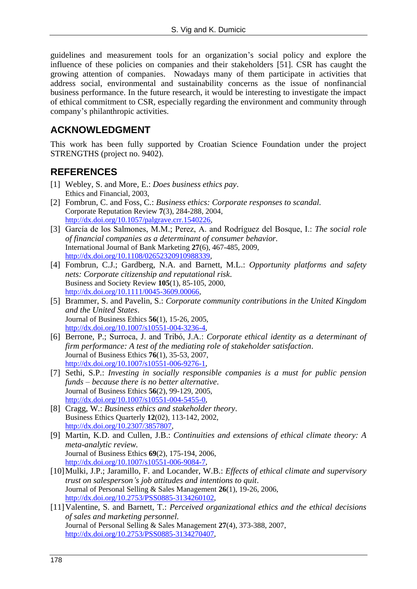guidelines and measurement tools for an organization's social policy and explore the influence of these policies on companies and their stakeholders [51]. CSR has caught the growing attention of companies. Nowadays many of them participate in activities that address social, environmental and sustainability concerns as the issue of nonfinancial business performance. In the future research, it would be interesting to investigate the impact of ethical commitment to CSR, especially regarding the environment and community through company's philanthropic activities.

# **ACKNOWLEDGMENT**

This work has been fully supported by Croatian Science Foundation under the project STRENGTHS (project no. 9402).

### **REFERENCES**

- [1] Webley, S. and More, E.: *Does business ethics pay*. Ethics and Financial, 2003,
- [2] Fombrun, C. and Foss, C.: *Business ethics: Corporate responses to scandal.* Corporate Reputation Review **7**(3), 284-288, 2004, [http://dx.doi.org/10.1057/palgrave.crr.1540226,](http://dx.doi.org/10.1057/palgrave.crr.1540226)
- [3] García de los Salmones, M.M.; Perez, A. and Rodríguez del Bosque, I.: *The social role of financial companies as a determinant of consumer behavior.* International Journal of Bank Marketing **27**(6), 467-485, 2009, [http://dx.doi.org/10.1108/02652320910988339,](http://dx.doi.org/10.1108/02652320910988339)
- [4] Fombrun, C.J.; Gardberg, N.A. and Barnett, M.L.: *Opportunity platforms and safety nets: Corporate citizenship and reputational risk*. Business and Society Review **105**(1), 85-105, 2000, [http://dx.doi.org/10.1111/0045-3609.00066,](http://dx.doi.org/10.1111/0045-3609.00066)
- [5] Brammer, S. and Pavelin, S.: *Corporate community contributions in the United Kingdom and the United States*. Journal of Business Ethics **56**(1), 15-26, 2005, [http://dx.doi.org/10.1007/s10551-004-3236-4,](http://dx.doi.org/10.1007/s10551-004-3236-4)
- [6] Berrone, P.; Surroca, J. and Tribó, J.A.: *Corporate ethical identity as a determinant of firm performance: A test of the mediating role of stakeholder satisfaction*. Journal of Business Ethics **76**(1), 35-53, 2007, [http://dx.doi.org/10.1007/s10551-006-9276-1,](http://dx.doi.org/10.1007/s10551-006-9276-1)
- [7] Sethi, S.P.: *Investing in socially responsible companies is a must for public pension funds – because there is no better alternative*. Journal of Business Ethics **56**(2), 99-129, 2005, [http://dx.doi.org/10.1007/s10551-004-5455-0,](http://dx.doi.org/10.1007/s10551-004-5455-0)
- [8] Cragg, W.: *Business ethics and stakeholder theory*. Business Ethics Quarterly **12**(02), 113-142, 2002, [http://dx.doi.org/10.2307/3857807,](http://dx.doi.org/10.2307/3857807)
- [9] Martin, K.D. and Cullen, J.B.: *Continuities and extensions of ethical climate theory: A meta-analytic review.* Journal of Business Ethics **69**(2), 175-194, 2006, [http://dx.doi.org/10.1007/s10551-006-9084-7,](http://dx.doi.org/10.1007/s10551-006-9084-7)
- [10]Mulki, J.P.; Jaramillo, F. and Locander, W.B.: *Effects of ethical climate and supervisory trust on salesperson's job attitudes and intentions to quit*. Journal of Personal Selling & Sales Management **26**(1), 19-26, 2006, [http://dx.doi.org/10.2753/PSS0885-3134260102,](http://dx.doi.org/10.2753/PSS0885-3134260102)
- [11]Valentine, S. and Barnett, T.: *Perceived organizational ethics and the ethical decisions of sales and marketing personnel.* Journal of Personal Selling & Sales Management **27**(4), 373-388, 2007, [http://dx.doi.org/10.2753/PSS0885-3134270407,](http://dx.doi.org/10.2753/PSS0885-3134270407)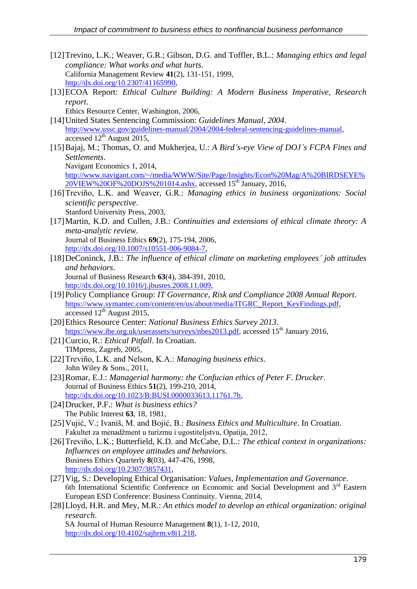- [12]Trevino, L.K.; Weaver, G.R.; Gibson, D.G. and Toffler, B.L.: *Managing ethics and legal compliance: What works and what hurts*. California Management Review **41**(2), 131-151, 1999, [http://dx.doi.org/10.2307/41165990,](http://dx.doi.org/10.2307/41165990)
- [13]ECOA Report: *Ethical Culture Building: A Modern Business Imperative, Research report*.
	- Ethics Resource Center, Washington, 2006,
- [14]United States Sentencing Commission: *Guidelines Manual, 2004*. [http://www.ussc.gov/guidelines-manual/2004/2004-federal-sentencing-guidelines-manual,](http://www.ussc.gov/guidelines-manual/2004/2004-federal-sentencing-guidelines-manual) accessed  $12<sup>th</sup>$  August 2015,
- [15]Bajaj, M.; Thomas, O. and Mukherjea, U.: *A Bird's-eye View of DOJ's FCPA Fines and Settlements*. Navigant Economics 1, 2014, [http://www.navigant.com/~/media/WWW/Site/Page/Insights/Econ%20Mag/A%20BIRDSEYE%](http://www.navigant.com/~/media/WWW/Site/Page/Insights/Econ%20Mag/A%20BIRDSEYE%20VIEW%20OF%20DOJS%201014.ashx) [20VIEW%20OF%20DOJS%201014.ashx,](http://www.navigant.com/~/media/WWW/Site/Page/Insights/Econ%20Mag/A%20BIRDSEYE%20VIEW%20OF%20DOJS%201014.ashx) accessed 15th January, 2016,
- [16]Treviño, L.K. and Weaver, G.R.: *Managing ethics in business organizations: Social scientific perspective*. Stanford University Press, 2003,
- [17]Martin, K.D. and Cullen, J.B.: *Continuities and extensions of ethical climate theory: A meta-analytic review*. Journal of Business Ethics **69**(2), 175-194, 2006, [http://dx.doi.org/10.1007/s10551-006-9084-7,](http://dx.doi.org/10.1007/s10551-006-9084-7)
- [18]DeConinck, J.B.: *The influence of ethical climate on marketing employees' job attitudes and behaviors*. Journal of Business Research **63**(4), 384-391, 2010, [http://dx.doi.org/10.1016/j.jbusres.2008.11.009,](http://dx.doi.org/10.1016/j.jbusres.2008.11.009)
- [19]Policy Compliance Group: *IT Governance, Risk and Compliance 2008 Annual Report*. [https://www.symantec.com/content/en/us/about/media/ITGRC\\_Report\\_KeyFindings.pdf,](https://www.symantec.com/content/en/us/about/media/ITGRC_Report_KeyFindings.pdf) accessed  $12<sup>th</sup>$  August 2015,
- [20]Ethics Resource Center: *National Business Ethics Survey 2013*. [https://www.ibe.org.uk/userassets/surveys/nbes2013.pdf,](https://www.ibe.org.uk/userassets/surveys/nbes2013.pdf) accessed 15<sup>th</sup> January 2016,
- [21]Curcio, R.: *Ethical Pitfall*. In Croatian. TIMpress, Zagreb, 2005,
- [22]Treviño, L.K. and Nelson, K.A.: *Managing business ethics*. John Wiley & Sons., 2011,
- [23]Romar, E.J.: *Managerial harmony: the Confucian ethics of Peter F. Drucker*. Journal of Business Ethics **51**(2), 199-210, 2014, [http://dx.doi.org/10.1023/B:BUSI.0000033613.11761.7b,](http://dx.doi.org/10.1023/B:BUSI.0000033613.11761.7b)
- [24]Drucker, P.F.: *What is business ethics?* The Public Interest **63**, 18, 1981,
- [25]Vujić, V.; Ivaniš, M. and Bojić, B.: *Business Ethics and Multiculture*. In Croatian. Fakultet za menadžment u turizmu i ugostiteljstvu, Opatija, 2012,
- [26]Treviño, L.K.; Butterfield, K.D. and McCabe, D.L.: *The ethical context in organizations: Influences on employee attitudes and behaviors*. Business Ethics Quarterly **8**(03), 447-476, 1998, [http://dx.doi.org/10.2307/3857431,](http://dx.doi.org/10.2307/3857431)
- [27]Vig, S.: Developing Ethical Organisation: *Values, Implementation and Governance*. 6th International Scientific Conference on Economic and Social Development and  $3<sup>rd</sup>$  Eastern European ESD Conference: Business Continuity. Vienna, 2014,
- [28]Lloyd, H.R. and Mey, M.R.: *An ethics model to develop an ethical organization: original research*.

SA Journal of Human Resource Management **8**(1), 1-12, 2010, [http://dx.doi.org/10.4102/sajhrm.v8i1.218,](http://dx.doi.org/10.4102/sajhrm.v8i1.218)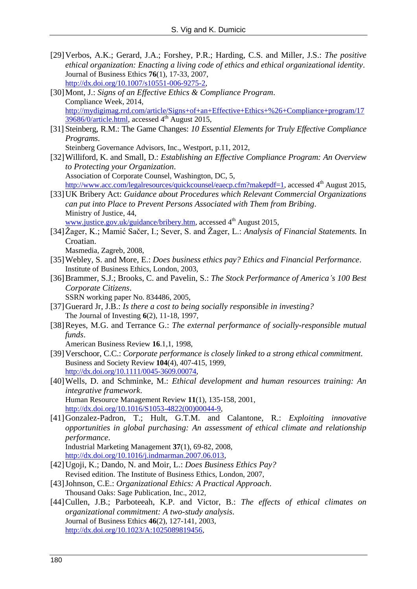- [29]Verbos, A.K.; Gerard, J.A.; Forshey, P.R.; Harding, C.S. and Miller, J.S.: *The positive ethical organization: Enacting a living code of ethics and ethical organizational identity*. Journal of Business Ethics **76**(1), 17-33, 2007, [http://dx.doi.org/10.1007/s10551-006-9275-2,](http://dx.doi.org/10.1007/s10551-006-9275-2)
- [30]Mont, J.: *Signs of an Effective Ethics & Compliance Program*. Compliance Week, 2014, [http://mydigimag.rrd.com/article/Signs+of+an+Effective+Ethics+%26+Compliance+program/17](http://mydigimag.rrd.com/article/Signs+of+an+Effective+Ethics+%26+Compliance+program/1739686/0/article.html)  $39686/0$ /article.html, accessed  $4<sup>th</sup>$  August 2015,
- [31] Steinberg, R.M.: The Game Changes: *10 Essential Elements for Truly Effective Compliance Programs*.
- Steinberg Governance Advisors, Inc., Westport, p.11, 2012, [32]Williford, K. and Small, D.: *Establishing an Effective Compliance Program: An Overview to Protecting your Organization*. Association of Corporate Counsel, Washington, DC, 5,
- [http://www.acc.com/legalresources/quickcounsel/eaecp.cfm?makepdf=1,](http://www.acc.com/legalresources/quickcounsel/eaecp.cfm?makepdf=1) accessed 4<sup>th</sup> August 2015, [33]UK Bribery Act: *Guidance about Procedures which Relevant Commercial Organizations*
- *can put into Place to Prevent Persons Associated with Them from Bribing*. Ministry of Justice, 44, [www.justice.gov.uk/guidance/bribery.htm,](http://www.justice.gov.uk/guidance/bribery.htm) accessed  $4<sup>th</sup>$  August 2015,
- [34]Žager, K.; Mamić Sačer, I.; Sever, S. and Žager, L.: *Analysis of Financial Statements.* In Croatian.
	- Masmedia, Zagreb, 2008,
- [35]Webley, S. and More, E.: *Does business ethics pay? Ethics and Financial Performance*. Institute of Business Ethics, London, 2003,
- [36]Brammer, S.J.; Brooks, C. and Pavelin, S.: *The Stock Performance of America's 100 Best Corporate Citizens*. SSRN working paper No. 834486, 2005,
- [37]Guerard Jr, J.B.: *Is there a cost to being socially responsible in investing?* The Journal of Investing **6**(2), 11-18, 1997,
- [38]Reyes, M.G. and Terrance G.: *The external performance of socially-responsible mutual funds*.

American Business Review **16**.1,1, 1998,

- [39]Verschoor, C.C.: *Corporate performance is closely linked to a strong ethical commitment*. Business and Society Review **104**(4), 407-415, 1999, [http://dx.doi.org/10.1111/0045-3609.00074,](http://dx.doi.org/10.1111/0045-3609.00074)
- [40]Wells, D. and Schminke, M.: *Ethical development and human resources training: An integrative framework*. Human Resource Management Review **11**(1), 135-158, 2001, [http://dx.doi.org/10.1016/S1053-4822\(00\)00044-9,](http://dx.doi.org/10.1016/S1053-4822(00)00044-9)
- [41]Gonzalez-Padron, T.; Hult, G.T.M. and Calantone, R.: *Exploiting innovative opportunities in global purchasing: An assessment of ethical climate and relationship performance*. Industrial Marketing Management **37**(1), 69-82, 2008,

[http://dx.doi.org/10.1016/j.indmarman.2007.06.013,](http://dx.doi.org/10.1016/j.indmarman.2007.06.013)

- [42]Ugoji, K.; Dando, N. and Moir, L.: *Does Business Ethics Pay?* Revised edition. The Institute of Business Ethics, London, 2007,
- [43]Johnson, C.E.: *Organizational Ethics: A Practical Approach*. Thousand Oaks: Sage Publication, Inc., 2012,
- [44]Cullen, J.B.; Parboteeah, K.P. and Victor, B.: *The effects of ethical climates on organizational commitment: A two-study analysis*. Journal of Business Ethics **46**(2), 127-141, 2003, [http://dx.doi.org/10.1023/A:1025089819456,](http://dx.doi.org/10.1023/A:1025089819456)